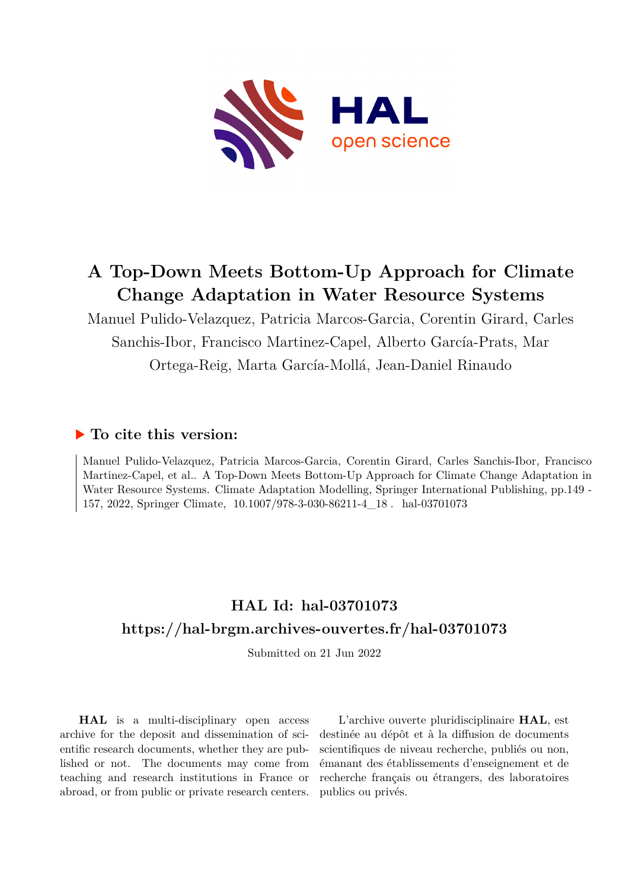

# **A Top-Down Meets Bottom-Up Approach for Climate Change Adaptation in Water Resource Systems**

Manuel Pulido-Velazquez, Patricia Marcos-Garcia, Corentin Girard, Carles Sanchis-Ibor, Francisco Martinez-Capel, Alberto García-Prats, Mar Ortega-Reig, Marta García-Mollá, Jean-Daniel Rinaudo

# **To cite this version:**

Manuel Pulido-Velazquez, Patricia Marcos-Garcia, Corentin Girard, Carles Sanchis-Ibor, Francisco Martinez-Capel, et al.. A Top-Down Meets Bottom-Up Approach for Climate Change Adaptation in Water Resource Systems. Climate Adaptation Modelling, Springer International Publishing, pp.149 - 157, 2022, Springer Climate, 10.1007/978-3-030-86211-4 18 hal-03701073

# **HAL Id: hal-03701073 <https://hal-brgm.archives-ouvertes.fr/hal-03701073>**

Submitted on 21 Jun 2022

**HAL** is a multi-disciplinary open access archive for the deposit and dissemination of scientific research documents, whether they are published or not. The documents may come from teaching and research institutions in France or abroad, or from public or private research centers.

L'archive ouverte pluridisciplinaire **HAL**, est destinée au dépôt et à la diffusion de documents scientifiques de niveau recherche, publiés ou non, émanant des établissements d'enseignement et de recherche français ou étrangers, des laboratoires publics ou privés.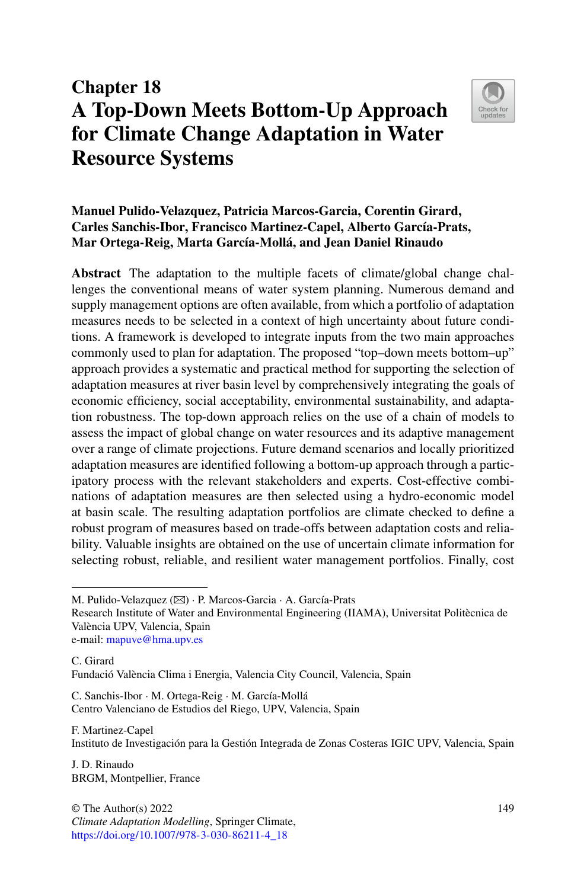# **Chapter 18 A Top-Down Meets Bottom-Up Approach for Climate Change Adaptation in Water Resource Systems**



### **Manuel Pulido-Velazquez, Patricia Marcos-Garcia, Corentin Girard, Carles Sanchis-Ibor, Francisco Martinez-Capel, Alberto García-Prats, Mar Ortega-Reig, Marta García-Mollá, and Jean Daniel Rinaudo**

**Abstract** The adaptation to the multiple facets of climate/global change challenges the conventional means of water system planning. Numerous demand and supply management options are often available, from which a portfolio of adaptation measures needs to be selected in a context of high uncertainty about future conditions. A framework is developed to integrate inputs from the two main approaches commonly used to plan for adaptation. The proposed "top–down meets bottom–up" approach provides a systematic and practical method for supporting the selection of adaptation measures at river basin level by comprehensively integrating the goals of economic efficiency, social acceptability, environmental sustainability, and adaptation robustness. The top-down approach relies on the use of a chain of models to assess the impact of global change on water resources and its adaptive management over a range of climate projections. Future demand scenarios and locally prioritized adaptation measures are identified following a bottom-up approach through a participatory process with the relevant stakeholders and experts. Cost-effective combinations of adaptation measures are then selected using a hydro-economic model at basin scale. The resulting adaptation portfolios are climate checked to define a robust program of measures based on trade-offs between adaptation costs and reliability. Valuable insights are obtained on the use of uncertain climate information for selecting robust, reliable, and resilient water management portfolios. Finally, cost

#### F. Martinez-Capel Instituto de Investigación para la Gestión Integrada de Zonas Costeras IGIC UPV, Valencia, Spain

J. D. Rinaudo BRGM, Montpellier, France

M. Pulido-Velazquez (B) · P. Marcos-Garcia · A. García-Prats

Research Institute of Water and Environmental Engineering (IIAMA), Universitat Politècnica de València UPV, Valencia, Spain

e-mail: [mapuve@hma.upv.es](mailto:mapuve@hma.upv.es)

C. Girard Fundació València Clima i Energia, Valencia City Council, Valencia, Spain

C. Sanchis-Ibor · M. Ortega-Reig · M. García-Mollá Centro Valenciano de Estudios del Riego, UPV, Valencia, Spain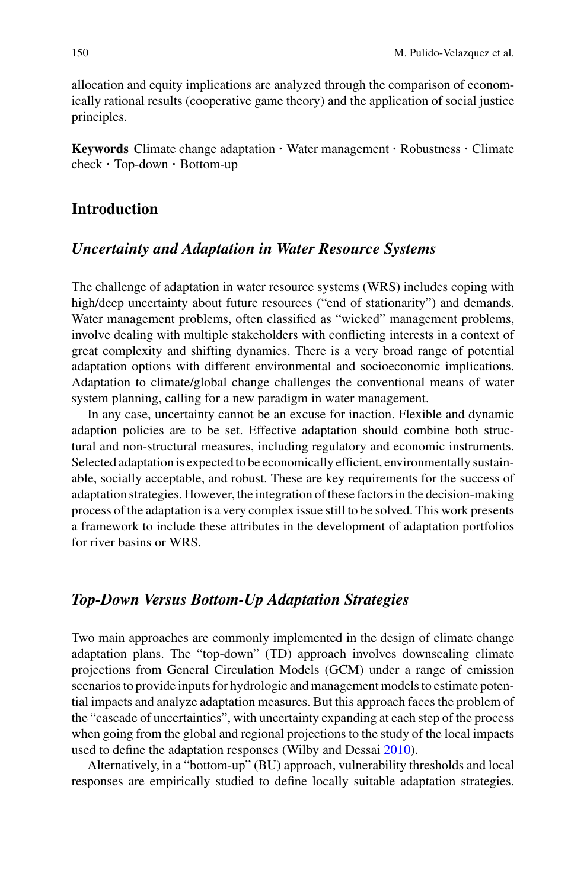allocation and equity implications are analyzed through the comparison of economically rational results (cooperative game theory) and the application of social justice principles.

**Keywords** Climate change adaptation · Water management · Robustness · Climate check · Top-down · Bottom-up

# **Introduction**

#### *Uncertainty and Adaptation in Water Resource Systems*

The challenge of adaptation in water resource systems (WRS) includes coping with high/deep uncertainty about future resources ("end of stationarity") and demands. Water management problems, often classified as "wicked" management problems, involve dealing with multiple stakeholders with conflicting interests in a context of great complexity and shifting dynamics. There is a very broad range of potential adaptation options with different environmental and socioeconomic implications. Adaptation to climate/global change challenges the conventional means of water system planning, calling for a new paradigm in water management.

In any case, uncertainty cannot be an excuse for inaction. Flexible and dynamic adaption policies are to be set. Effective adaptation should combine both structural and non-structural measures, including regulatory and economic instruments. Selected adaptation is expected to be economically efficient, environmentally sustainable, socially acceptable, and robust. These are key requirements for the success of adaptation strategies. However, the integration of these factors in the decision-making process of the adaptation is a very complex issue still to be solved. This work presents a framework to include these attributes in the development of adaptation portfolios for river basins or WRS.

### *Top-Down Versus Bottom-Up Adaptation Strategies*

Two main approaches are commonly implemented in the design of climate change adaptation plans. The "top-down" (TD) approach involves downscaling climate projections from General Circulation Models (GCM) under a range of emission scenarios to provide inputs for hydrologic and management models to estimate potential impacts and analyze adaptation measures. But this approach faces the problem of the "cascade of uncertainties", with uncertainty expanding at each step of the process when going from the global and regional projections to the study of the local impacts used to define the adaptation responses (Wilby and Dessai 2010).

Alternatively, in a "bottom-up" (BU) approach, vulnerability thresholds and local responses are empirically studied to define locally suitable adaptation strategies.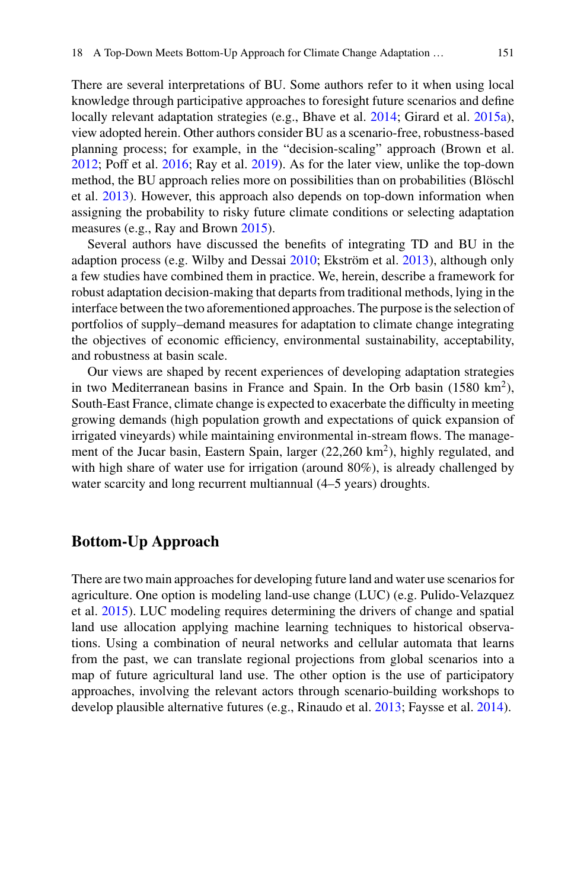There are several interpretations of BU. Some authors refer to it when using local knowledge through participative approaches to foresight future scenarios and define locally relevant adaptation strategies (e.g., Bhave et al. 2014; Girard et al. 2015a), view adopted herein. Other authors consider BU as a scenario-free, robustness-based planning process; for example, in the "decision-scaling" approach (Brown et al. 2012; Poff et al. 2016; Ray et al. 2019). As for the later view, unlike the top-down method, the BU approach relies more on possibilities than on probabilities (Blöschl et al. 2013). However, this approach also depends on top-down information when assigning the probability to risky future climate conditions or selecting adaptation measures (e.g., Ray and Brown 2015).

Several authors have discussed the benefits of integrating TD and BU in the adaption process (e.g. Wilby and Dessai 2010; Ekström et al. 2013), although only a few studies have combined them in practice. We, herein, describe a framework for robust adaptation decision-making that departs from traditional methods, lying in the interface between the two aforementioned approaches. The purpose is the selection of portfolios of supply–demand measures for adaptation to climate change integrating the objectives of economic efficiency, environmental sustainability, acceptability, and robustness at basin scale.

Our views are shaped by recent experiences of developing adaptation strategies in two Mediterranean basins in France and Spain. In the Orb basin  $(1580 \text{ km}^2)$ , South-East France, climate change is expected to exacerbate the difficulty in meeting growing demands (high population growth and expectations of quick expansion of irrigated vineyards) while maintaining environmental in-stream flows. The management of the Jucar basin, Eastern Spain, larger  $(22,260 \text{ km}^2)$ , highly regulated, and with high share of water use for irrigation (around 80%), is already challenged by water scarcity and long recurrent multiannual  $(4-5$  years) droughts.

# **Bottom-Up Approach**

There are two main approaches for developing future land and water use scenarios for agriculture. One option is modeling land-use change (LUC) (e.g. Pulido-Velazquez et al. 2015). LUC modeling requires determining the drivers of change and spatial land use allocation applying machine learning techniques to historical observations. Using a combination of neural networks and cellular automata that learns from the past, we can translate regional projections from global scenarios into a map of future agricultural land use. The other option is the use of participatory approaches, involving the relevant actors through scenario-building workshops to develop plausible alternative futures (e.g., Rinaudo et al. 2013; Faysse et al. 2014).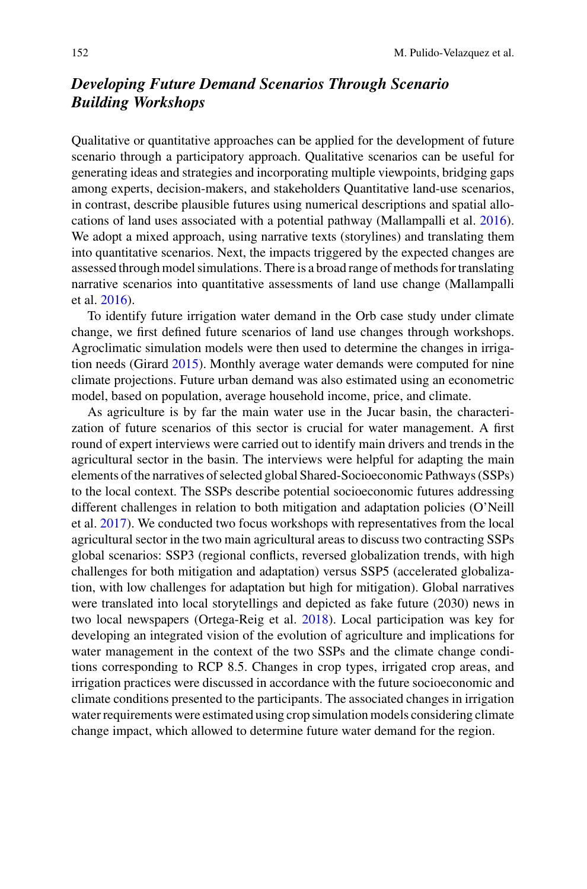# *Developing Future Demand Scenarios Through Scenario Building Workshops*

Qualitative or quantitative approaches can be applied for the development of future scenario through a participatory approach. Qualitative scenarios can be useful for generating ideas and strategies and incorporating multiple viewpoints, bridging gaps among experts, decision-makers, and stakeholders Quantitative land-use scenarios, in contrast, describe plausible futures using numerical descriptions and spatial allocations of land uses associated with a potential pathway (Mallampalli et al. 2016). We adopt a mixed approach, using narrative texts (storylines) and translating them into quantitative scenarios. Next, the impacts triggered by the expected changes are assessed through model simulations. There is a broad range of methods for translating narrative scenarios into quantitative assessments of land use change (Mallampalli et al. 2016).

To identify future irrigation water demand in the Orb case study under climate change, we first defined future scenarios of land use changes through workshops. Agroclimatic simulation models were then used to determine the changes in irrigation needs (Girard 2015). Monthly average water demands were computed for nine climate projections. Future urban demand was also estimated using an econometric model, based on population, average household income, price, and climate.

As agriculture is by far the main water use in the Jucar basin, the characterization of future scenarios of this sector is crucial for water management. A first round of expert interviews were carried out to identify main drivers and trends in the agricultural sector in the basin. The interviews were helpful for adapting the main elements of the narratives of selected global Shared-Socioeconomic Pathways (SSPs) to the local context. The SSPs describe potential socioeconomic futures addressing different challenges in relation to both mitigation and adaptation policies (O'Neill et al. 2017). We conducted two focus workshops with representatives from the local agricultural sector in the two main agricultural areas to discuss two contracting SSPs global scenarios: SSP3 (regional conflicts, reversed globalization trends, with high challenges for both mitigation and adaptation) versus SSP5 (accelerated globalization, with low challenges for adaptation but high for mitigation). Global narratives were translated into local storytellings and depicted as fake future (2030) news in two local newspapers (Ortega-Reig et al. 2018). Local participation was key for developing an integrated vision of the evolution of agriculture and implications for water management in the context of the two SSPs and the climate change conditions corresponding to RCP 8.5. Changes in crop types, irrigated crop areas, and irrigation practices were discussed in accordance with the future socioeconomic and climate conditions presented to the participants. The associated changes in irrigation water requirements were estimated using crop simulation models considering climate change impact, which allowed to determine future water demand for the region.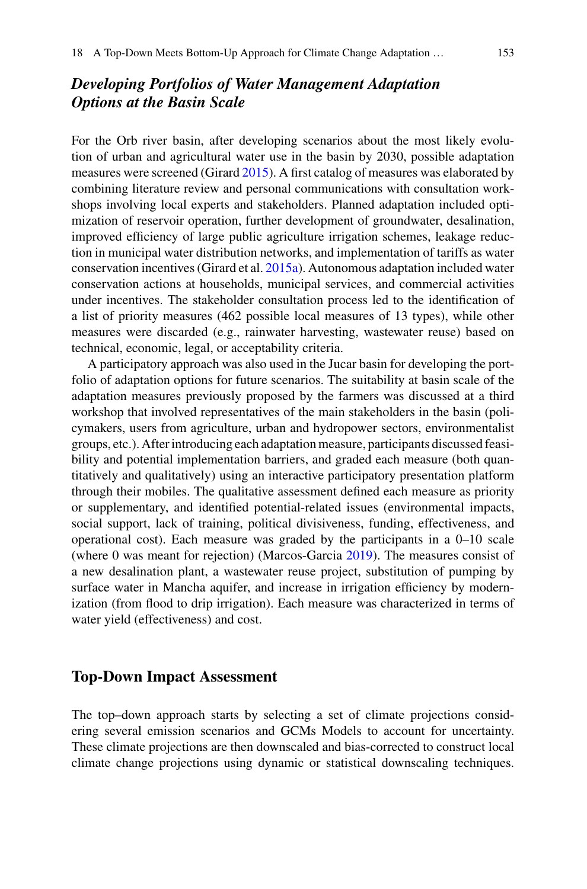# *Developing Portfolios of Water Management Adaptation Options at the Basin Scale*

For the Orb river basin, after developing scenarios about the most likely evolution of urban and agricultural water use in the basin by 2030, possible adaptation measures were screened (Girard 2015). A first catalog of measures was elaborated by combining literature review and personal communications with consultation workshops involving local experts and stakeholders. Planned adaptation included optimization of reservoir operation, further development of groundwater, desalination, improved efficiency of large public agriculture irrigation schemes, leakage reduction in municipal water distribution networks, and implementation of tariffs as water conservation incentives (Girard et al. 2015a). Autonomous adaptation included water conservation actions at households, municipal services, and commercial activities under incentives. The stakeholder consultation process led to the identification of a list of priority measures (462 possible local measures of 13 types), while other measures were discarded (e.g., rainwater harvesting, wastewater reuse) based on technical, economic, legal, or acceptability criteria.

A participatory approach was also used in the Jucar basin for developing the portfolio of adaptation options for future scenarios. The suitability at basin scale of the adaptation measures previously proposed by the farmers was discussed at a third workshop that involved representatives of the main stakeholders in the basin (policymakers, users from agriculture, urban and hydropower sectors, environmentalist groups, etc.). After introducing each adaptation measure, participants discussed feasibility and potential implementation barriers, and graded each measure (both quantitatively and qualitatively) using an interactive participatory presentation platform through their mobiles. The qualitative assessment defined each measure as priority or supplementary, and identified potential-related issues (environmental impacts, social support, lack of training, political divisiveness, funding, effectiveness, and operational cost). Each measure was graded by the participants in a 0–10 scale (where 0 was meant for rejection) (Marcos-Garcia 2019). The measures consist of a new desalination plant, a wastewater reuse project, substitution of pumping by surface water in Mancha aquifer, and increase in irrigation efficiency by modernization (from flood to drip irrigation). Each measure was characterized in terms of water yield (effectiveness) and cost.

#### **Top-Down Impact Assessment**

The top–down approach starts by selecting a set of climate projections considering several emission scenarios and GCMs Models to account for uncertainty. These climate projections are then downscaled and bias-corrected to construct local climate change projections using dynamic or statistical downscaling techniques.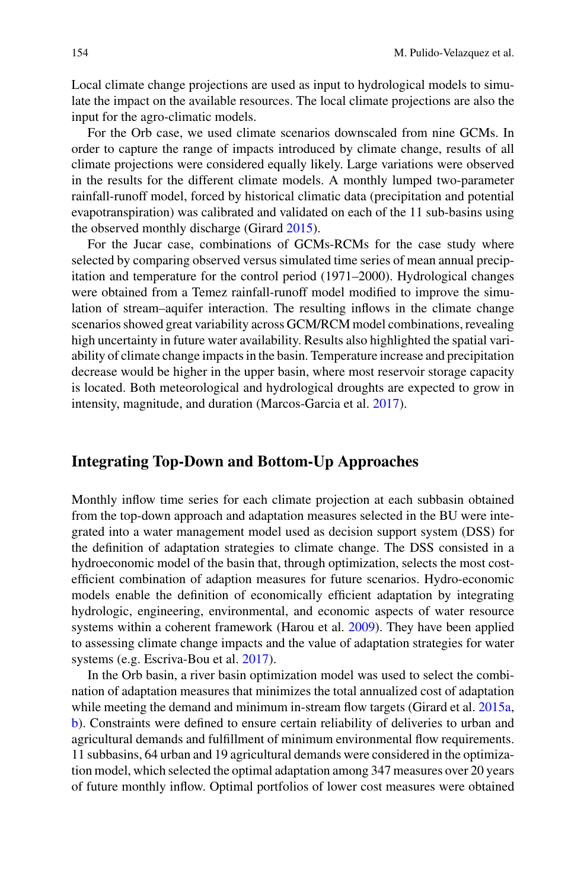Local climate change projections are used as input to hydrological models to simulate the impact on the available resources. The local climate projections are also the input for the agro-climatic models.

For the Orb case, we used climate scenarios downscaled from nine GCMs. In order to capture the range of impacts introduced by climate change, results of all climate projections were considered equally likely. Large variations were observed in the results for the different climate models. A monthly lumped two-parameter rainfall-runoff model, forced by historical climatic data (precipitation and potential evapotranspiration) was calibrated and validated on each of the 11 sub-basins using the observed monthly discharge (Girard 2015).

For the Jucar case, combinations of GCMs-RCMs for the case study where selected by comparing observed versus simulated time series of mean annual precipitation and temperature for the control period (1971–2000). Hydrological changes were obtained from a Temez rainfall-runoff model modified to improve the simulation of stream–aquifer interaction. The resulting inflows in the climate change scenarios showed great variability across GCM/RCM model combinations, revealing high uncertainty in future water availability. Results also highlighted the spatial variability of climate change impacts in the basin. Temperature increase and precipitation decrease would be higher in the upper basin, where most reservoir storage capacity is located. Both meteorological and hydrological droughts are expected to grow in intensity, magnitude, and duration (Marcos-Garcia et al. 2017).

#### **Integrating Top-Down and Bottom-Up Approaches**

Monthly inflow time series for each climate projection at each subbasin obtained from the top-down approach and adaptation measures selected in the BU were integrated into a water management model used as decision support system (DSS) for the definition of adaptation strategies to climate change. The DSS consisted in a hydroeconomic model of the basin that, through optimization, selects the most costefficient combination of adaption measures for future scenarios. Hydro-economic models enable the definition of economically efficient adaptation by integrating hydrologic, engineering, environmental, and economic aspects of water resource systems within a coherent framework (Harou et al. 2009). They have been applied to assessing climate change impacts and the value of adaptation strategies for water systems (e.g. Escriva-Bou et al. 2017).

In the Orb basin, a river basin optimization model was used to select the combination of adaptation measures that minimizes the total annualized cost of adaptation while meeting the demand and minimum in-stream flow targets (Girard et al. 2015a, b). Constraints were defined to ensure certain reliability of deliveries to urban and agricultural demands and fulfillment of minimum environmental flow requirements. 11 subbasins, 64 urban and 19 agricultural demands were considered in the optimization model, which selected the optimal adaptation among 347 measures over 20 years of future monthly inflow. Optimal portfolios of lower cost measures were obtained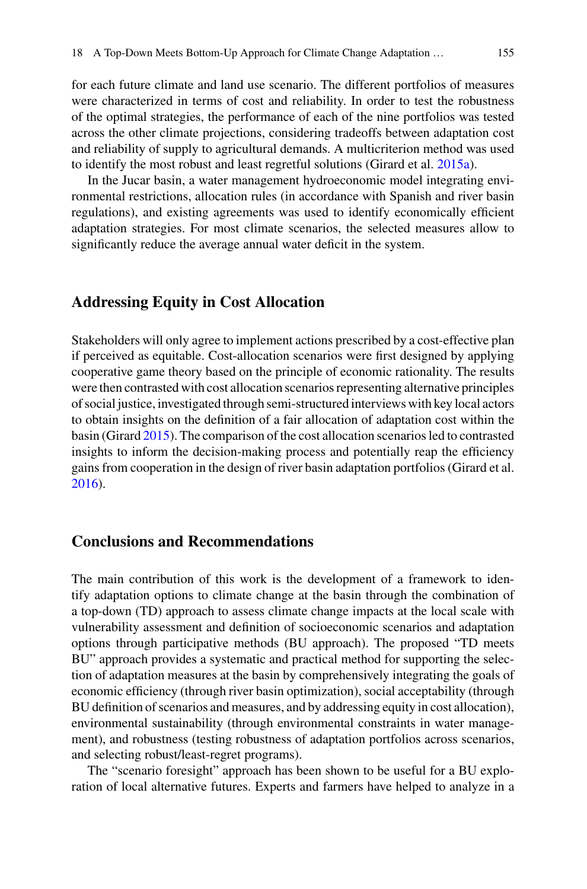for each future climate and land use scenario. The different portfolios of measures were characterized in terms of cost and reliability. In order to test the robustness of the optimal strategies, the performance of each of the nine portfolios was tested across the other climate projections, considering tradeoffs between adaptation cost and reliability of supply to agricultural demands. A multicriterion method was used to identify the most robust and least regretful solutions (Girard et al. 2015a).

In the Jucar basin, a water management hydroeconomic model integrating environmental restrictions, allocation rules (in accordance with Spanish and river basin regulations), and existing agreements was used to identify economically efficient adaptation strategies. For most climate scenarios, the selected measures allow to significantly reduce the average annual water deficit in the system.

#### **Addressing Equity in Cost Allocation**

Stakeholders will only agree to implement actions prescribed by a cost-effective plan if perceived as equitable. Cost-allocation scenarios were first designed by applying cooperative game theory based on the principle of economic rationality. The results were then contrasted with cost allocation scenarios representing alternative principles of social justice, investigated through semi-structured interviews with key local actors to obtain insights on the definition of a fair allocation of adaptation cost within the basin (Girard 2015). The comparison of the cost allocation scenarios led to contrasted insights to inform the decision-making process and potentially reap the efficiency gains from cooperation in the design of river basin adaptation portfolios (Girard et al. 2016).

# **Conclusions and Recommendations**

The main contribution of this work is the development of a framework to identify adaptation options to climate change at the basin through the combination of a top-down (TD) approach to assess climate change impacts at the local scale with vulnerability assessment and definition of socioeconomic scenarios and adaptation options through participative methods (BU approach). The proposed "TD meets BU" approach provides a systematic and practical method for supporting the selection of adaptation measures at the basin by comprehensively integrating the goals of economic efficiency (through river basin optimization), social acceptability (through BU definition of scenarios and measures, and by addressing equity in cost allocation), environmental sustainability (through environmental constraints in water management), and robustness (testing robustness of adaptation portfolios across scenarios, and selecting robust/least-regret programs).

The "scenario foresight" approach has been shown to be useful for a BU exploration of local alternative futures. Experts and farmers have helped to analyze in a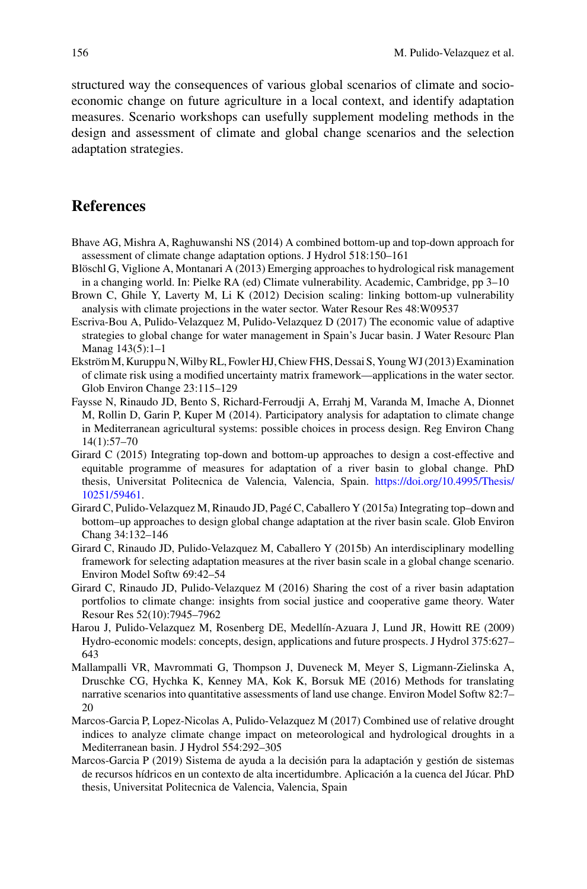structured way the consequences of various global scenarios of climate and socioeconomic change on future agriculture in a local context, and identify adaptation measures. Scenario workshops can usefully supplement modeling methods in the design and assessment of climate and global change scenarios and the selection adaptation strategies.

### **References**

- Bhave AG, Mishra A, Raghuwanshi NS (2014) A combined bottom-up and top-down approach for assessment of climate change adaptation options. J Hydrol 518:150–161
- Blöschl G, Viglione A, Montanari A (2013) Emerging approaches to hydrological risk management in a changing world. In: Pielke RA (ed) Climate vulnerability. Academic, Cambridge, pp 3–10
- Brown C, Ghile Y, Laverty M, Li K (2012) Decision scaling: linking bottom-up vulnerability analysis with climate projections in the water sector. Water Resour Res 48:W09537
- Escriva-Bou A, Pulido-Velazquez M, Pulido-Velazquez D (2017) The economic value of adaptive strategies to global change for water management in Spain's Jucar basin. J Water Resourc Plan Manag 143(5):1–1
- EkströmM, Kuruppu N,Wilby RL, Fowler HJ, Chiew FHS, Dessai S, YoungWJ (2013) Examination of climate risk using a modified uncertainty matrix framework—applications in the water sector. Glob Environ Change 23:115–129
- Faysse N, Rinaudo JD, Bento S, Richard-Ferroudji A, Errahj M, Varanda M, Imache A, Dionnet M, Rollin D, Garin P, Kuper M (2014). Participatory analysis for adaptation to climate change in Mediterranean agricultural systems: possible choices in process design. Reg Environ Chang 14(1):57–70
- Girard C (2015) Integrating top-down and bottom-up approaches to design a cost-effective and equitable programme of measures for adaptation of a river basin to global change. PhD [thesis, Universitat Politecnica de Valencia, Valencia, Spain.](https://doi.org/10.4995/Thesis/10251/59461) https://doi.org/10.4995/Thesis/ 10251/59461.
- Girard C, Pulido-Velazquez M, Rinaudo JD, Pagé C, Caballero Y (2015a) Integrating top–down and bottom–up approaches to design global change adaptation at the river basin scale. Glob Environ Chang 34:132–146
- Girard C, Rinaudo JD, Pulido-Velazquez M, Caballero Y (2015b) An interdisciplinary modelling framework for selecting adaptation measures at the river basin scale in a global change scenario. Environ Model Softw 69:42–54
- Girard C, Rinaudo JD, Pulido-Velazquez M (2016) Sharing the cost of a river basin adaptation portfolios to climate change: insights from social justice and cooperative game theory. Water Resour Res 52(10):7945–7962
- Harou J, Pulido-Velazquez M, Rosenberg DE, Medellín-Azuara J, Lund JR, Howitt RE (2009) Hydro-economic models: concepts, design, applications and future prospects. J Hydrol 375:627– 643
- Mallampalli VR, Mavrommati G, Thompson J, Duveneck M, Meyer S, Ligmann-Zielinska A, Druschke CG, Hychka K, Kenney MA, Kok K, Borsuk ME (2016) Methods for translating narrative scenarios into quantitative assessments of land use change. Environ Model Softw 82:7– 20
- Marcos-Garcia P, Lopez-Nicolas A, Pulido-Velazquez M (2017) Combined use of relative drought indices to analyze climate change impact on meteorological and hydrological droughts in a Mediterranean basin. J Hydrol 554:292–305
- Marcos-Garcia P (2019) Sistema de ayuda a la decisión para la adaptación y gestión de sistemas de recursos hídricos en un contexto de alta incertidumbre. Aplicación a la cuenca del Júcar. PhD thesis, Universitat Politecnica de Valencia, Valencia, Spain